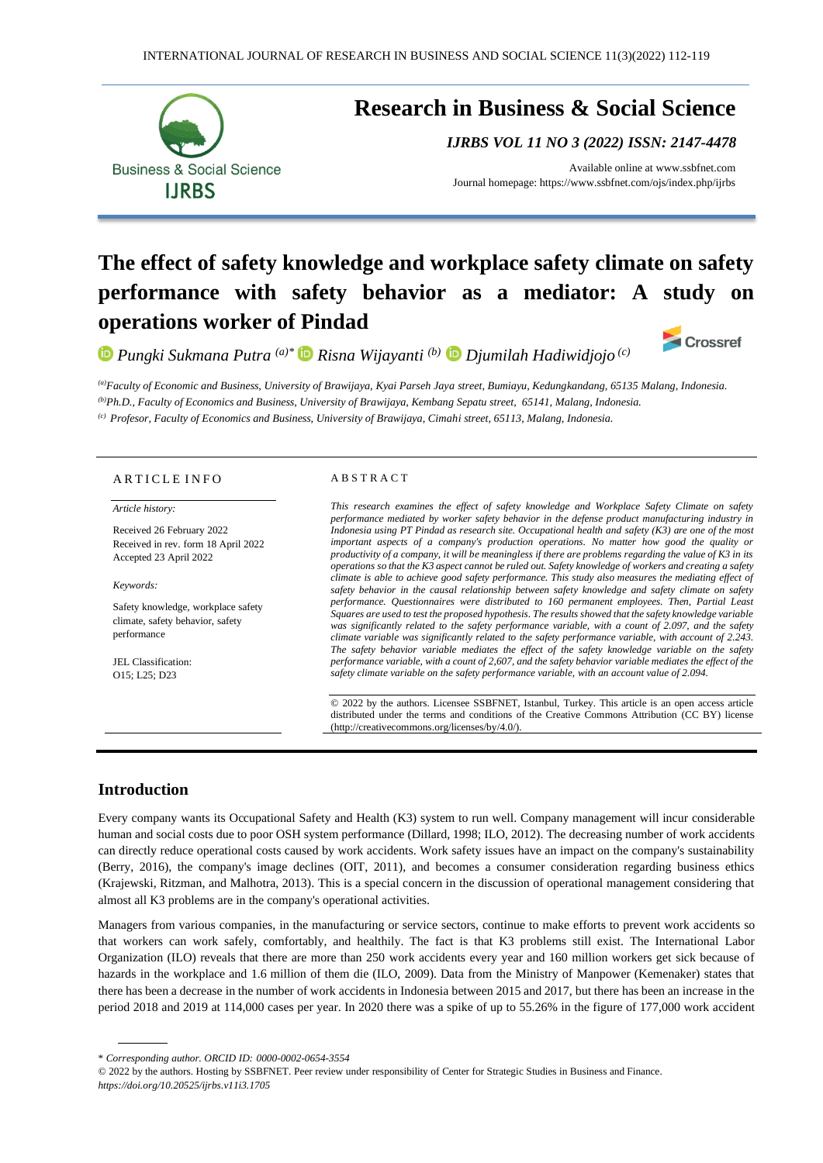

# **Research in Business & Social Science**

*IJRBS VOL 11 NO 3 (2022) ISSN: 2147-4478*

Available online at [www.ssbfnet.com](http://www.ssbfnet.com/) Journal homepage: https://www.ssbfnet.com/ojs/index.php/ijrbs

# **The effect of safety knowledge and workplace safety climate on safety performance with safety behavior as a mediator: A study on operations worker of Pindad**

*Pungki Sukmana Putra (a)\* Risna Wijayanti (b) Djumilah Hadiwidjojo (c)*

Crossref

*(a)Faculty of Economic and Business, University of Brawijaya, Kyai Parseh Jaya street, Bumiayu, Kedungkandang, 65135 Malang, Indonesia. (b)Ph.D., Faculty of Economics and Business, University of Brawijaya, Kembang Sepatu street, 65141, Malang, Indonesia. (c) Profesor, Faculty of Economics and Business, University of Brawijaya, Cimahi street, 65113, Malang, Indonesia.*

#### ARTICLE INFO

#### *Article history:*

Received 26 February 2022 Received in rev. form 18 April 2022 Accepted 23 April 2022

*Keywords:*

Safety knowledge, workplace safety climate, safety behavior, safety performance

JEL Classification: O15; L25; D23

#### A B S T R A C T

*This research examines the effect of safety knowledge and Workplace Safety Climate on safety performance mediated by worker safety behavior in the defense product manufacturing industry in Indonesia using PT Pindad as research site. Occupational health and safety (K3) are one of the most important aspects of a company's production operations. No matter how good the quality or productivity of a company, it will be meaningless if there are problems regarding the value of K3 in its operations so that the K3 aspect cannot be ruled out. Safety knowledge of workers and creating a safety climate is able to achieve good safety performance. This study also measures the mediating effect of safety behavior in the causal relationship between safety knowledge and safety climate on safety performance. Questionnaires were distributed to 160 permanent employees. Then, Partial Least Squares are used to test the proposed hypothesis. The results showed that the safety knowledge variable*  was significantly related to the safety performance variable, with a count of 2.097, and the safety *climate variable was significantly related to the safety performance variable, with account of 2.243. The safety behavior variable mediates the effect of the safety knowledge variable on the safety performance variable, with a count of 2,607, and the safety behavior variable mediates the effect of the safety climate variable on the safety performance variable, with an account value of 2.094.*

© 2022 by the authors. Licensee SSBFNET, Istanbul, Turkey. This article is an open access article distributed under the terms and conditions of the Creative Commons Attribution (CC BY) license (http://creativecommons.org/licenses/by/4.0/).

## **Introduction**

Every company wants its Occupational Safety and Health (K3) system to run well. Company management will incur considerable human and social costs due to poor OSH system performance (Dillard, 1998; ILO, 2012). The decreasing number of work accidents can directly reduce operational costs caused by work accidents. Work safety issues have an impact on the company's sustainability (Berry, 2016), the company's image declines (OIT, 2011), and becomes a consumer consideration regarding business ethics (Krajewski, Ritzman, and Malhotra, 2013). This is a special concern in the discussion of operational management considering that almost all K3 problems are in the company's operational activities.

Managers from various companies, in the manufacturing or service sectors, continue to make efforts to prevent work accidents so that workers can work safely, comfortably, and healthily. The fact is that K3 problems still exist. The International Labor Organization (ILO) reveals that there are more than 250 work accidents every year and 160 million workers get sick because of hazards in the workplace and 1.6 million of them die (ILO, 2009). Data from the Ministry of Manpower (Kemenaker) states that there has been a decrease in the number of work accidents in Indonesia between 2015 and 2017, but there has been an increase in the period 2018 and 2019 at 114,000 cases per year. In 2020 there was a spike of up to 55.26% in the figure of 177,000 work accident

<sup>\*</sup> *Corresponding author. ORCID ID: 0000-0002-0654-3554*

<sup>© 2022</sup> by the authors. Hosting by SSBFNET. Peer review under responsibility of Center for Strategic Studies in Business and Finance. *<https://doi.org/10.20525/ijrbs.v11i3.1705>*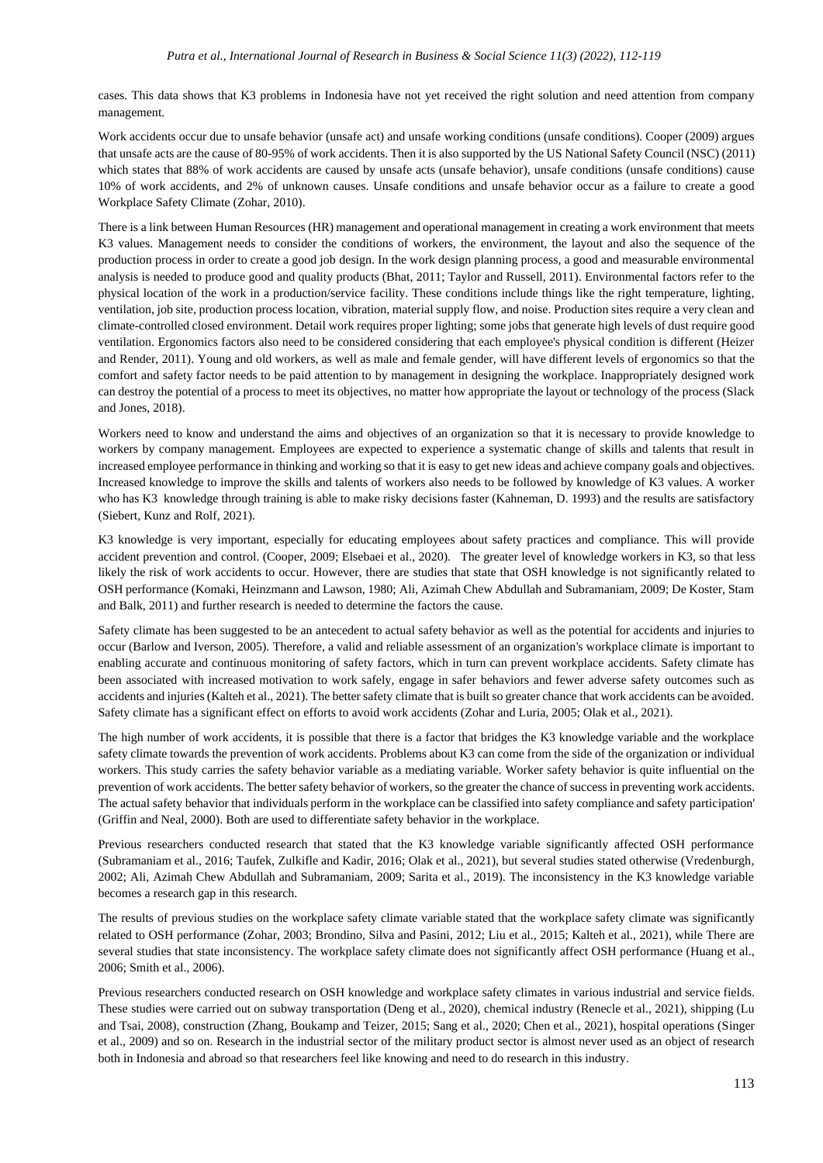cases. This data shows that K3 problems in Indonesia have not yet received the right solution and need attention from company management.

Work accidents occur due to unsafe behavior (unsafe act) and unsafe working conditions (unsafe conditions). Cooper (2009) argues that unsafe acts are the cause of 80-95% of work accidents. Then it is also supported by the US National Safety Council (NSC) (2011) which states that 88% of work accidents are caused by unsafe acts (unsafe behavior), unsafe conditions (unsafe conditions) cause 10% of work accidents, and 2% of unknown causes. Unsafe conditions and unsafe behavior occur as a failure to create a good Workplace Safety Climate (Zohar, 2010).

There is a link between Human Resources (HR) management and operational management in creating a work environment that meets K3 values. Management needs to consider the conditions of workers, the environment, the layout and also the sequence of the production process in order to create a good job design. In the work design planning process, a good and measurable environmental analysis is needed to produce good and quality products (Bhat, 2011; Taylor and Russell, 2011). Environmental factors refer to the physical location of the work in a production/service facility. These conditions include things like the right temperature, lighting, ventilation, job site, production process location, vibration, material supply flow, and noise. Production sites require a very clean and climate-controlled closed environment. Detail work requires proper lighting; some jobs that generate high levels of dust require good ventilation. Ergonomics factors also need to be considered considering that each employee's physical condition is different (Heizer and Render, 2011). Young and old workers, as well as male and female gender, will have different levels of ergonomics so that the comfort and safety factor needs to be paid attention to by management in designing the workplace. Inappropriately designed work can destroy the potential of a process to meet its objectives, no matter how appropriate the layout or technology of the process (Slack and Jones, 2018).

Workers need to know and understand the aims and objectives of an organization so that it is necessary to provide knowledge to workers by company management. Employees are expected to experience a systematic change of skills and talents that result in increased employee performance in thinking and working so that it is easy to get new ideas and achieve company goals and objectives. Increased knowledge to improve the skills and talents of workers also needs to be followed by knowledge of K3 values. A worker who has K3 knowledge through training is able to make risky decisions faster (Kahneman, D. 1993) and the results are satisfactory (Siebert, Kunz and Rolf, 2021).

K3 knowledge is very important, especially for educating employees about safety practices and compliance. This will provide accident prevention and control. (Cooper, 2009; Elsebaei et al., 2020). The greater level of knowledge workers in K3, so that less likely the risk of work accidents to occur. However, there are studies that state that OSH knowledge is not significantly related to OSH performance (Komaki, Heinzmann and Lawson, 1980; Ali, Azimah Chew Abdullah and Subramaniam, 2009; De Koster, Stam and Balk, 2011) and further research is needed to determine the factors the cause.

Safety climate has been suggested to be an antecedent to actual safety behavior as well as the potential for accidents and injuries to occur (Barlow and Iverson, 2005). Therefore, a valid and reliable assessment of an organization's workplace climate is important to enabling accurate and continuous monitoring of safety factors, which in turn can prevent workplace accidents. Safety climate has been associated with increased motivation to work safely, engage in safer behaviors and fewer adverse safety outcomes such as accidents and injuries (Kalteh et al., 2021). The better safety climate that is built so greater chance that work accidents can be avoided. Safety climate has a significant effect on efforts to avoid work accidents (Zohar and Luria, 2005; Olak et al., 2021).

The high number of work accidents, it is possible that there is a factor that bridges the K3 knowledge variable and the workplace safety climate towards the prevention of work accidents. Problems about K3 can come from the side of the organization or individual workers. This study carries the safety behavior variable as a mediating variable. Worker safety behavior is quite influential on the prevention of work accidents. The better safety behavior of workers, so the greater the chance of success in preventing work accidents. The actual safety behavior that individuals perform in the workplace can be classified into safety compliance and safety participation' (Griffin and Neal, 2000). Both are used to differentiate safety behavior in the workplace.

Previous researchers conducted research that stated that the K3 knowledge variable significantly affected OSH performance (Subramaniam et al., 2016; Taufek, Zulkifle and Kadir, 2016; Olak et al., 2021), but several studies stated otherwise (Vredenburgh, 2002; Ali, Azimah Chew Abdullah and Subramaniam, 2009; Sarita et al., 2019). The inconsistency in the K3 knowledge variable becomes a research gap in this research.

The results of previous studies on the workplace safety climate variable stated that the workplace safety climate was significantly related to OSH performance (Zohar, 2003; Brondino, Silva and Pasini, 2012; Liu et al., 2015; Kalteh et al., 2021), while There are several studies that state inconsistency. The workplace safety climate does not significantly affect OSH performance (Huang et al., 2006; Smith et al., 2006).

Previous researchers conducted research on OSH knowledge and workplace safety climates in various industrial and service fields. These studies were carried out on subway transportation (Deng et al., 2020), chemical industry (Renecle et al., 2021), shipping (Lu and Tsai, 2008), construction (Zhang, Boukamp and Teizer, 2015; Sang et al., 2020; Chen et al., 2021), hospital operations (Singer et al., 2009) and so on. Research in the industrial sector of the military product sector is almost never used as an object of research both in Indonesia and abroad so that researchers feel like knowing and need to do research in this industry.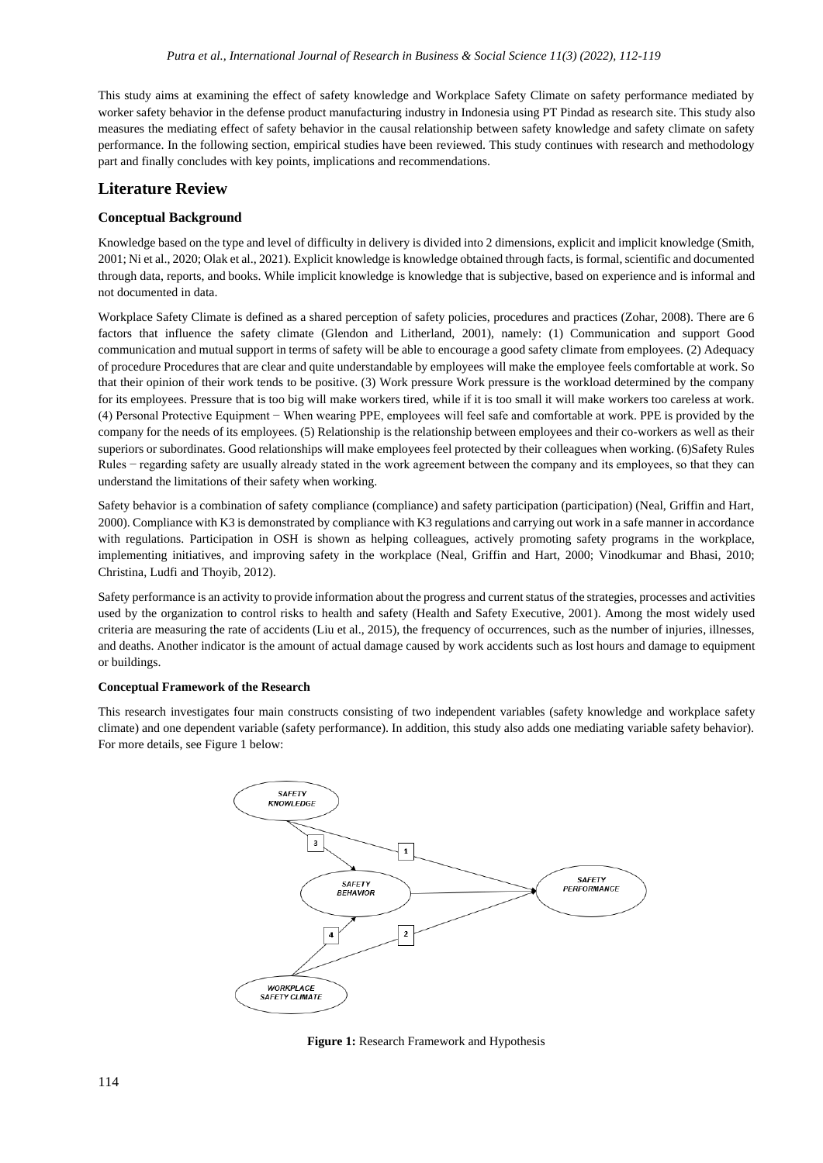This study aims at examining the effect of safety knowledge and Workplace Safety Climate on safety performance mediated by worker safety behavior in the defense product manufacturing industry in Indonesia using PT Pindad as research site. This study also measures the mediating effect of safety behavior in the causal relationship between safety knowledge and safety climate on safety performance. In the following section, empirical studies have been reviewed. This study continues with research and methodology part and finally concludes with key points, implications and recommendations.

## **Literature Review**

### **Conceptual Background**

Knowledge based on the type and level of difficulty in delivery is divided into 2 dimensions, explicit and implicit knowledge (Smith, 2001; Ni et al., 2020; Olak et al., 2021). Explicit knowledge is knowledge obtained through facts, is formal, scientific and documented through data, reports, and books. While implicit knowledge is knowledge that is subjective, based on experience and is informal and not documented in data.

Workplace Safety Climate is defined as a shared perception of safety policies, procedures and practices (Zohar, 2008). There are 6 factors that influence the safety climate (Glendon and Litherland, 2001), namely: (1) Communication and support Good communication and mutual support in terms of safety will be able to encourage a good safety climate from employees. (2) Adequacy of procedure Procedures that are clear and quite understandable by employees will make the employee feels comfortable at work. So that their opinion of their work tends to be positive. (3) Work pressure Work pressure is the workload determined by the company for its employees. Pressure that is too big will make workers tired, while if it is too small it will make workers too careless at work. (4) Personal Protective Equipment − When wearing PPE, employees will feel safe and comfortable at work. PPE is provided by the company for the needs of its employees. (5) Relationship is the relationship between employees and their co-workers as well as their superiors or subordinates. Good relationships will make employees feel protected by their colleagues when working. (6)Safety Rules Rules − regarding safety are usually already stated in the work agreement between the company and its employees, so that they can understand the limitations of their safety when working.

Safety behavior is a combination of safety compliance (compliance) and safety participation (participation) (Neal, Griffin and Hart, 2000). Compliance with K3 is demonstrated by compliance with K3 regulations and carrying out work in a safe manner in accordance with regulations. Participation in OSH is shown as helping colleagues, actively promoting safety programs in the workplace, implementing initiatives, and improving safety in the workplace (Neal, Griffin and Hart, 2000; Vinodkumar and Bhasi, 2010; Christina, Ludfi and Thoyib, 2012).

Safety performance is an activity to provide information about the progress and current status of the strategies, processes and activities used by the organization to control risks to health and safety (Health and Safety Executive, 2001). Among the most widely used criteria are measuring the rate of accidents (Liu et al., 2015), the frequency of occurrences, such as the number of injuries, illnesses, and deaths. Another indicator is the amount of actual damage caused by work accidents such as lost hours and damage to equipment or buildings.

#### **Conceptual Framework of the Research**

This research investigates four main constructs consisting of two independent variables (safety knowledge and workplace safety climate) and one dependent variable (safety performance). In addition, this study also adds one mediating variable safety behavior). For more details, see Figure 1 below:



**Figure 1:** Research Framework and Hypothesis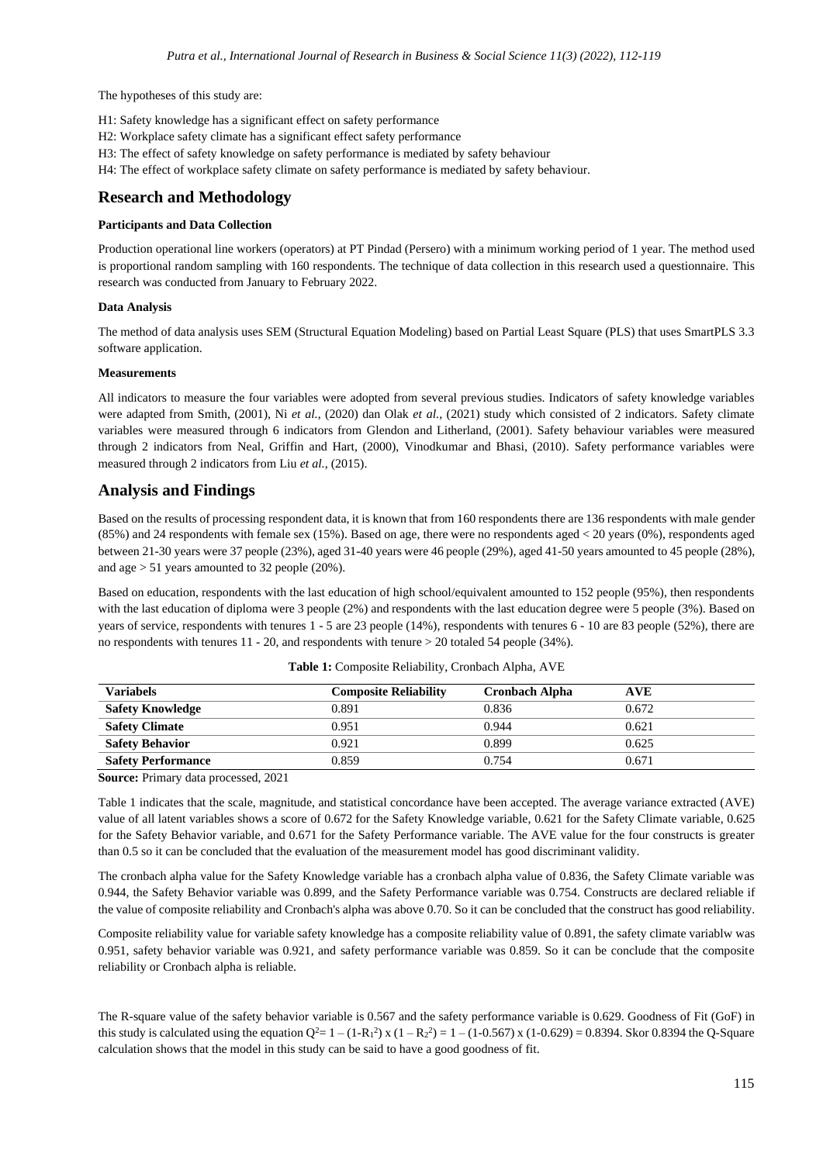The hypotheses of this study are:

- H1: Safety knowledge has a significant effect on safety performance
- H2: Workplace safety climate has a significant effect safety performance
- H3: The effect of safety knowledge on safety performance is mediated by safety behaviour
- H4: The effect of workplace safety climate on safety performance is mediated by safety behaviour.

## **Research and Methodology**

#### **Participants and Data Collection**

Production operational line workers (operators) at PT Pindad (Persero) with a minimum working period of 1 year. The method used is proportional random sampling with 160 respondents. The technique of data collection in this research used a questionnaire. This research was conducted from January to February 2022.

#### **Data Analysis**

The method of data analysis uses SEM (Structural Equation Modeling) based on Partial Least Square (PLS) that uses SmartPLS 3.3 software application.

#### **Measurements**

All indicators to measure the four variables were adopted from several previous studies. Indicators of safety knowledge variables were adapted from Smith, (2001), Ni *et al.*, (2020) dan Olak *et al.*, (2021) study which consisted of 2 indicators. Safety climate variables were measured through 6 indicators from Glendon and Litherland, (2001). Safety behaviour variables were measured through 2 indicators from Neal, Griffin and Hart, (2000), Vinodkumar and Bhasi, (2010). Safety performance variables were measured through 2 indicators from Liu *et al.*, (2015).

## **Analysis and Findings**

Based on the results of processing respondent data, it is known that from 160 respondents there are 136 respondents with male gender (85%) and 24 respondents with female sex (15%). Based on age, there were no respondents aged < 20 years (0%), respondents aged between 21-30 years were 37 people (23%), aged 31-40 years were 46 people (29%), aged 41-50 years amounted to 45 people (28%), and age > 51 years amounted to 32 people (20%).

Based on education, respondents with the last education of high school/equivalent amounted to 152 people (95%), then respondents with the last education of diploma were 3 people (2%) and respondents with the last education degree were 5 people (3%). Based on years of service, respondents with tenures 1 - 5 are 23 people (14%), respondents with tenures 6 - 10 are 83 people (52%), there are no respondents with tenures 11 - 20, and respondents with tenure > 20 totaled 54 people (34%).

| Variabels                 | <b>Composite Reliability</b> | <b>Cronbach Alpha</b> | <b>AVE</b> |
|---------------------------|------------------------------|-----------------------|------------|
| <b>Safety Knowledge</b>   | 0.891                        | 0.836                 | 0.672      |
| <b>Safety Climate</b>     | 0.951                        | 0.944                 | 0.621      |
| <b>Safety Behavior</b>    | 0.921                        | 0.899                 | 0.625      |
| <b>Safety Performance</b> | 0.859                        | 0.754                 | 0.671      |

**Table 1:** Composite Reliability, Cronbach Alpha, AVE

**Source:** Primary data processed, 2021

Table 1 indicates that the scale, magnitude, and statistical concordance have been accepted. The average variance extracted (AVE) value of all latent variables shows a score of 0.672 for the Safety Knowledge variable, 0.621 for the Safety Climate variable, 0.625 for the Safety Behavior variable, and 0.671 for the Safety Performance variable. The AVE value for the four constructs is greater than 0.5 so it can be concluded that the evaluation of the measurement model has good discriminant validity.

The cronbach alpha value for the Safety Knowledge variable has a cronbach alpha value of 0.836, the Safety Climate variable was 0.944, the Safety Behavior variable was 0.899, and the Safety Performance variable was 0.754. Constructs are declared reliable if the value of composite reliability and Cronbach's alpha was above 0.70. So it can be concluded that the construct has good reliability.

Composite reliability value for variable safety knowledge has a composite reliability value of 0.891, the safety climate variablw was 0.951, safety behavior variable was 0.921, and safety performance variable was 0.859. So it can be conclude that the composite reliability or Cronbach alpha is reliable.

The R-square value of the safety behavior variable is 0.567 and the safety performance variable is 0.629. Goodness of Fit (GoF) in this study is calculated using the equation  $Q^2 = 1 - (1 - R_1)^2$  x  $(1 - R_2)^2 = 1 - (1 - 0.567)$  x  $(1 - 0.629) = 0.8394$ . Skor 0.8394 the Q-Square calculation shows that the model in this study can be said to have a good goodness of fit.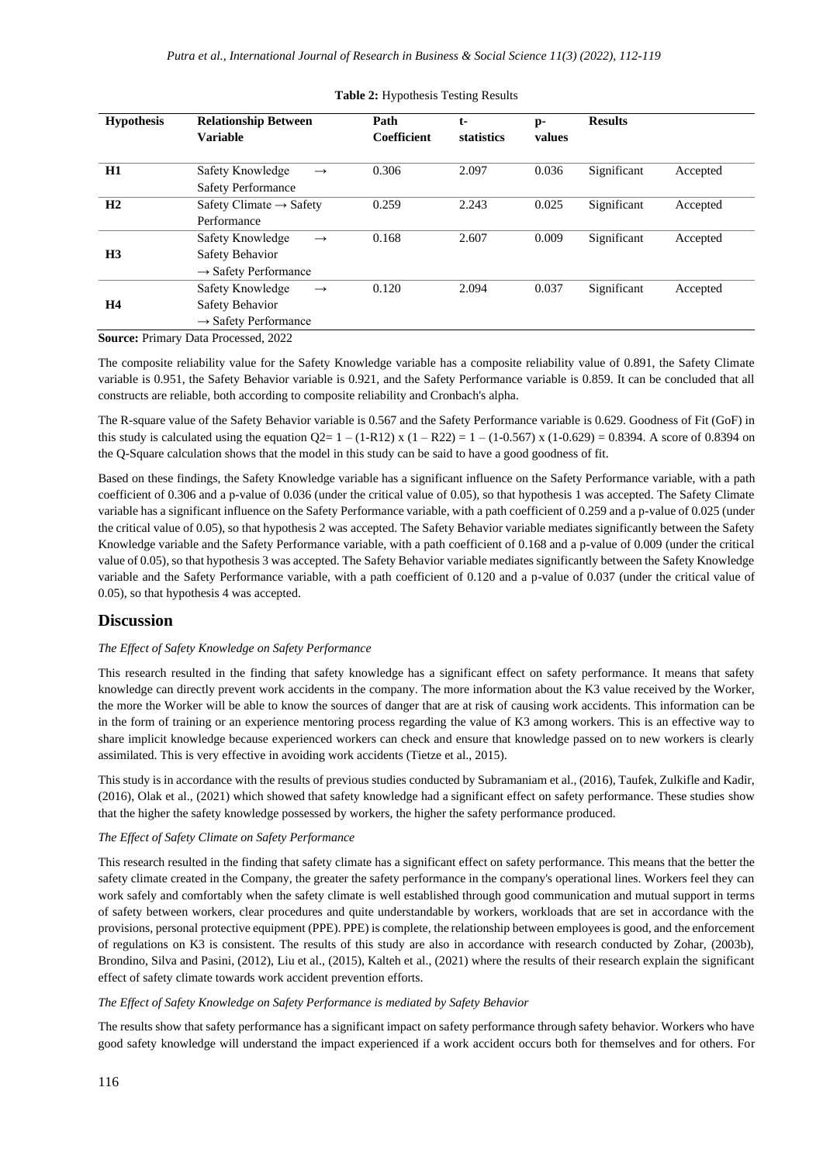| <b>Hypothesis</b> | <b>Relationship Between</b><br><b>Variable</b>                                               | Path<br><b>Coefficient</b> | $t-$<br>statistics | p-<br>values | <b>Results</b> |          |
|-------------------|----------------------------------------------------------------------------------------------|----------------------------|--------------------|--------------|----------------|----------|
| H1                | Safety Knowledge<br>$\rightarrow$<br><b>Safety Performance</b>                               | 0.306                      | 2.097              | 0.036        | Significant    | Accepted |
| H2                | Safety Climate $\rightarrow$ Safety<br>Performance                                           | 0.259                      | 2.243              | 0.025        | Significant    | Accepted |
| H <sub>3</sub>    | Safety Knowledge<br>$\rightarrow$<br>Safety Behavior<br>$\rightarrow$ Safety Performance     | 0.168                      | 2.607              | 0.009        | Significant    | Accepted |
| <b>H4</b>         | Safety Knowledge<br>$\longrightarrow$<br>Safety Behavior<br>$\rightarrow$ Safety Performance | 0.120                      | 2.094              | 0.037        | Significant    | Accepted |

#### **Table 2:** Hypothesis Testing Results

**Source:** Primary Data Processed, 2022

The composite reliability value for the Safety Knowledge variable has a composite reliability value of 0.891, the Safety Climate variable is 0.951, the Safety Behavior variable is 0.921, and the Safety Performance variable is 0.859. It can be concluded that all constructs are reliable, both according to composite reliability and Cronbach's alpha.

The R-square value of the Safety Behavior variable is 0.567 and the Safety Performance variable is 0.629. Goodness of Fit (GoF) in this study is calculated using the equation  $Q2 = 1 - (1 - R12) x (1 - R22) = 1 - (1 - 0.567) x (1 - 0.629) = 0.8394$ . A score of 0.8394 on the Q-Square calculation shows that the model in this study can be said to have a good goodness of fit.

Based on these findings, the Safety Knowledge variable has a significant influence on the Safety Performance variable, with a path coefficient of 0.306 and a p-value of 0.036 (under the critical value of 0.05), so that hypothesis 1 was accepted. The Safety Climate variable has a significant influence on the Safety Performance variable, with a path coefficient of 0.259 and a p-value of 0.025 (under the critical value of 0.05), so that hypothesis 2 was accepted. The Safety Behavior variable mediates significantly between the Safety Knowledge variable and the Safety Performance variable, with a path coefficient of 0.168 and a p-value of 0.009 (under the critical value of 0.05), so that hypothesis 3 was accepted. The Safety Behavior variable mediates significantly between the Safety Knowledge variable and the Safety Performance variable, with a path coefficient of 0.120 and a p-value of 0.037 (under the critical value of 0.05), so that hypothesis 4 was accepted.

### **Discussion**

#### *The Effect of Safety Knowledge on Safety Performance*

This research resulted in the finding that safety knowledge has a significant effect on safety performance. It means that safety knowledge can directly prevent work accidents in the company. The more information about the K3 value received by the Worker, the more the Worker will be able to know the sources of danger that are at risk of causing work accidents. This information can be in the form of training or an experience mentoring process regarding the value of K3 among workers. This is an effective way to share implicit knowledge because experienced workers can check and ensure that knowledge passed on to new workers is clearly assimilated. This is very effective in avoiding work accidents (Tietze et al., 2015).

This study is in accordance with the results of previous studies conducted by Subramaniam et al., (2016), Taufek, Zulkifle and Kadir, (2016), Olak et al., (2021) which showed that safety knowledge had a significant effect on safety performance. These studies show that the higher the safety knowledge possessed by workers, the higher the safety performance produced.

### *The Effect of Safety Climate on Safety Performance*

This research resulted in the finding that safety climate has a significant effect on safety performance. This means that the better the safety climate created in the Company, the greater the safety performance in the company's operational lines. Workers feel they can work safely and comfortably when the safety climate is well established through good communication and mutual support in terms of safety between workers, clear procedures and quite understandable by workers, workloads that are set in accordance with the provisions, personal protective equipment (PPE). PPE) is complete, the relationship between employees is good, and the enforcement of regulations on K3 is consistent. The results of this study are also in accordance with research conducted by Zohar, (2003b), Brondino, Silva and Pasini, (2012), Liu et al., (2015), Kalteh et al., (2021) where the results of their research explain the significant effect of safety climate towards work accident prevention efforts.

#### *The Effect of Safety Knowledge on Safety Performance is mediated by Safety Behavior*

The results show that safety performance has a significant impact on safety performance through safety behavior. Workers who have good safety knowledge will understand the impact experienced if a work accident occurs both for themselves and for others. For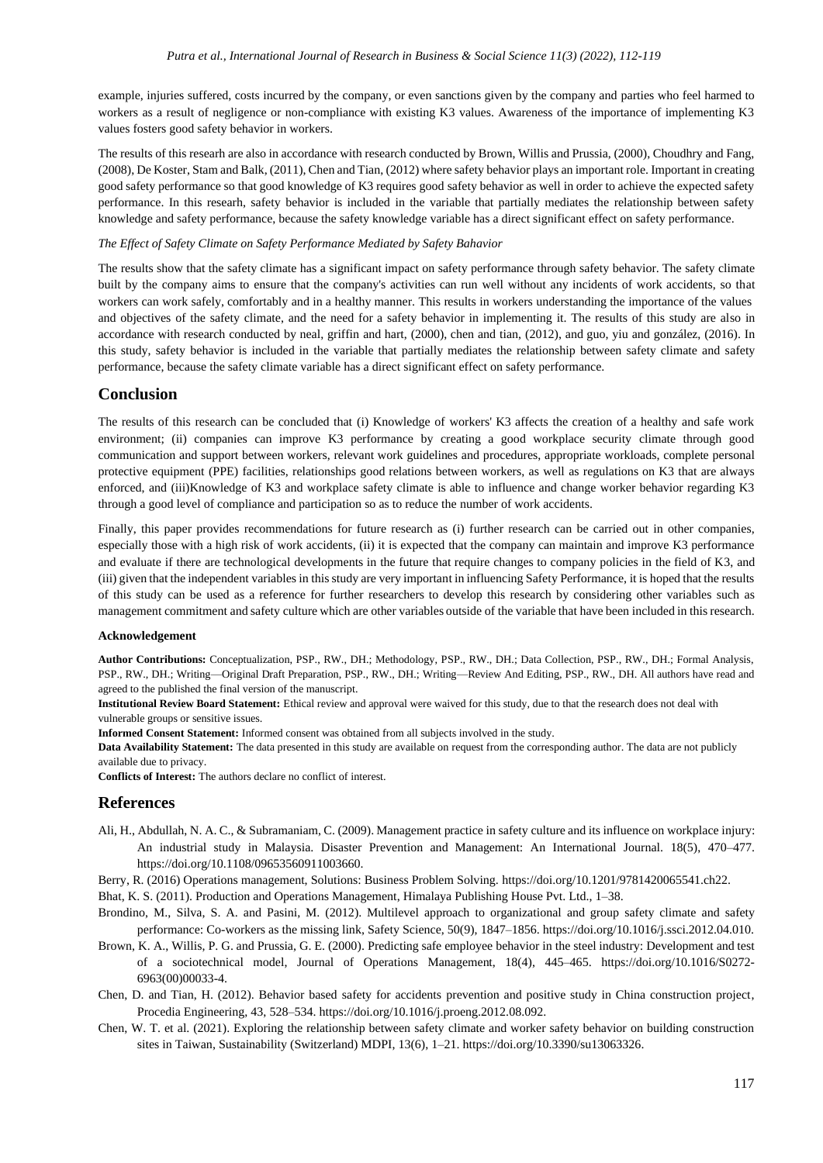example, injuries suffered, costs incurred by the company, or even sanctions given by the company and parties who feel harmed to workers as a result of negligence or non-compliance with existing K3 values. Awareness of the importance of implementing K3 values fosters good safety behavior in workers.

The results of this researh are also in accordance with research conducted by Brown, Willis and Prussia, (2000), Choudhry and Fang, (2008), De Koster, Stam and Balk, (2011), Chen and Tian, (2012) where safety behavior plays an important role. Important in creating good safety performance so that good knowledge of K3 requires good safety behavior as well in order to achieve the expected safety performance. In this researh, safety behavior is included in the variable that partially mediates the relationship between safety knowledge and safety performance, because the safety knowledge variable has a direct significant effect on safety performance.

#### *The Effect of Safety Climate on Safety Performance Mediated by Safety Bahavior*

The results show that the safety climate has a significant impact on safety performance through safety behavior. The safety climate built by the company aims to ensure that the company's activities can run well without any incidents of work accidents, so that workers can work safely, comfortably and in a healthy manner. This results in workers understanding the importance of the values and objectives of the safety climate, and the need for a safety behavior in implementing it. The results of this study are also in accordance with research conducted by neal, griffin and hart, (2000), chen and tian, (2012), and guo, yiu and gonzález, (2016). In this study, safety behavior is included in the variable that partially mediates the relationship between safety climate and safety performance, because the safety climate variable has a direct significant effect on safety performance.

## **Conclusion**

The results of this research can be concluded that (i) Knowledge of workers' K3 affects the creation of a healthy and safe work environment; (ii) companies can improve K3 performance by creating a good workplace security climate through good communication and support between workers, relevant work guidelines and procedures, appropriate workloads, complete personal protective equipment (PPE) facilities, relationships good relations between workers, as well as regulations on K3 that are always enforced, and (iii)Knowledge of K3 and workplace safety climate is able to influence and change worker behavior regarding K3 through a good level of compliance and participation so as to reduce the number of work accidents.

Finally, this paper provides recommendations for future research as (i) further research can be carried out in other companies, especially those with a high risk of work accidents, (ii) it is expected that the company can maintain and improve K3 performance and evaluate if there are technological developments in the future that require changes to company policies in the field of K3, and (iii) given that the independent variables in this study are very important in influencing Safety Performance, it is hoped that the results of this study can be used as a reference for further researchers to develop this research by considering other variables such as management commitment and safety culture which are other variables outside of the variable that have been included in this research.

#### **Acknowledgement**

**Author Contributions:** Conceptualization, PSP., RW., DH.; Methodology, PSP., RW., DH.; Data Collection, PSP., RW., DH.; Formal Analysis, PSP., RW., DH.; Writing—Original Draft Preparation, PSP., RW., DH.; Writing—Review And Editing, PSP., RW., DH. All authors have read and agreed to the published the final version of the manuscript.

**Institutional Review Board Statement:** Ethical review and approval were waived for this study, due to that the research does not deal with vulnerable groups or sensitive issues.

**Informed Consent Statement:** Informed consent was obtained from all subjects involved in the study.

**Data Availability Statement:** The data presented in this study are available on request from the corresponding author. The data are not publicly available due to privacy.

**Conflicts of Interest:** The authors declare no conflict of interest.

#### **References**

- Ali, H., Abdullah, N. A. C., & Subramaniam, C. (2009). Management practice in safety culture and its influence on workplace injury: An industrial study in Malaysia. Disaster Prevention and Management: An International Journal. 18(5), 470–477. https://doi.org/10.1108/09653560911003660.
- Berry, R. (2016) Operations management, Solutions: Business Problem Solving. https://doi.org/10.1201/9781420065541.ch22.
- Bhat, K. S. (2011). Production and Operations Management, Himalaya Publishing House Pvt. Ltd., 1–38.
- Brondino, M., Silva, S. A. and Pasini, M. (2012). Multilevel approach to organizational and group safety climate and safety performance: Co-workers as the missing link, Safety Science, 50(9), 1847–1856. https://doi.org/10.1016/j.ssci.2012.04.010.
- Brown, K. A., Willis, P. G. and Prussia, G. E. (2000). Predicting safe employee behavior in the steel industry: Development and test of a sociotechnical model, Journal of Operations Management, 18(4), 445–465. https://doi.org/10.1016/S0272- 6963(00)00033-4.
- Chen, D. and Tian, H. (2012). Behavior based safety for accidents prevention and positive study in China construction project, Procedia Engineering, 43, 528–534. https://doi.org/10.1016/j.proeng.2012.08.092.
- Chen, W. T. et al. (2021). Exploring the relationship between safety climate and worker safety behavior on building construction sites in Taiwan, Sustainability (Switzerland) MDPI, 13(6), 1–21. https://doi.org/10.3390/su13063326.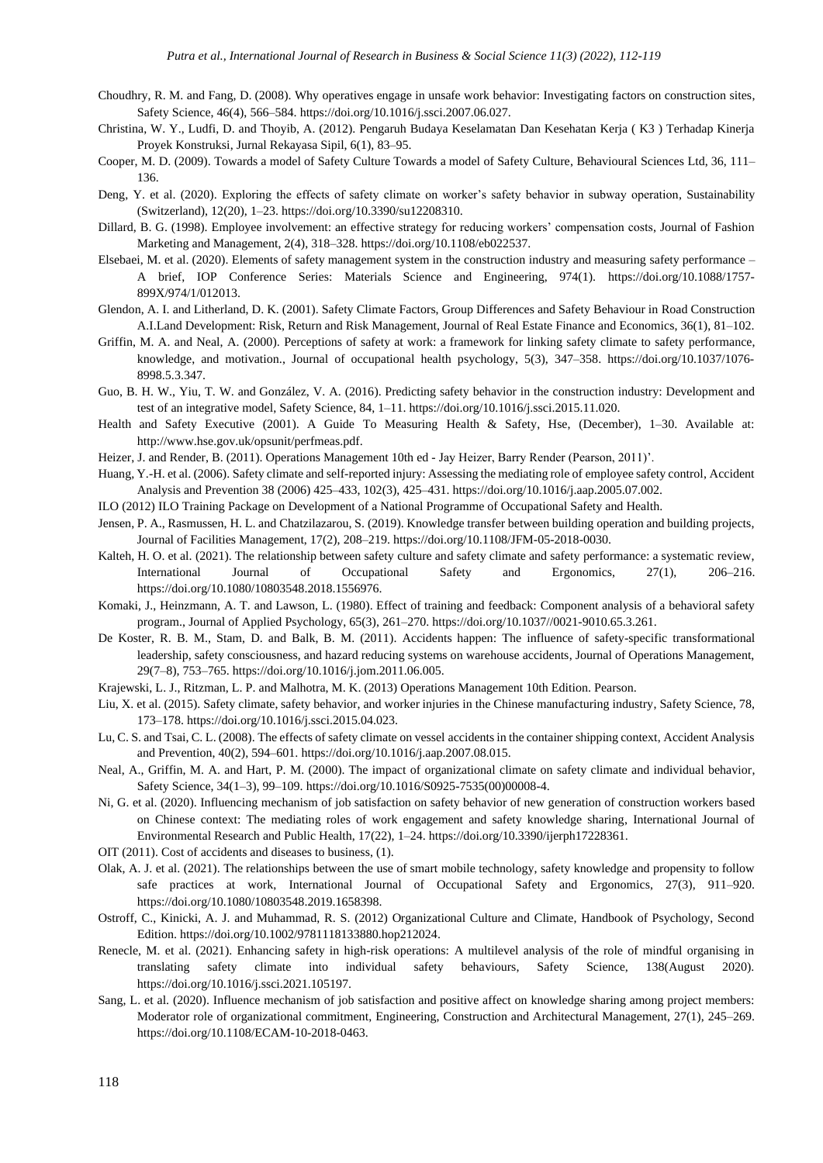- Choudhry, R. M. and Fang, D. (2008). Why operatives engage in unsafe work behavior: Investigating factors on construction sites, Safety Science, 46(4), 566–584. https://doi.org/10.1016/j.ssci.2007.06.027.
- Christina, W. Y., Ludfi, D. and Thoyib, A. (2012). Pengaruh Budaya Keselamatan Dan Kesehatan Kerja ( K3 ) Terhadap Kinerja Proyek Konstruksi, Jurnal Rekayasa Sipil, 6(1), 83–95.
- Cooper, M. D. (2009). Towards a model of Safety Culture Towards a model of Safety Culture, Behavioural Sciences Ltd, 36, 111– 136.
- Deng, Y. et al. (2020). Exploring the effects of safety climate on worker's safety behavior in subway operation, Sustainability (Switzerland), 12(20), 1–23. https://doi.org/10.3390/su12208310.
- Dillard, B. G. (1998). Employee involvement: an effective strategy for reducing workers' compensation costs, Journal of Fashion Marketing and Management, 2(4), 318–328. https://doi.org/10.1108/eb022537.
- Elsebaei, M. et al. (2020). Elements of safety management system in the construction industry and measuring safety performance A brief, IOP Conference Series: Materials Science and Engineering, 974(1). https://doi.org/10.1088/1757- 899X/974/1/012013.
- Glendon, A. I. and Litherland, D. K. (2001). Safety Climate Factors, Group Differences and Safety Behaviour in Road Construction A.I.Land Development: Risk, Return and Risk Management, Journal of Real Estate Finance and Economics, 36(1), 81–102.
- Griffin, M. A. and Neal, A. (2000). Perceptions of safety at work: a framework for linking safety climate to safety performance, knowledge, and motivation., Journal of occupational health psychology, 5(3), 347–358. https://doi.org/10.1037/1076- 8998.5.3.347.
- Guo, B. H. W., Yiu, T. W. and González, V. A. (2016). Predicting safety behavior in the construction industry: Development and test of an integrative model, Safety Science, 84, 1–11. https://doi.org/10.1016/j.ssci.2015.11.020.
- Health and Safety Executive (2001). A Guide To Measuring Health & Safety, Hse, (December), 1–30. Available at: http://www.hse.gov.uk/opsunit/perfmeas.pdf.
- Heizer, J. and Render, B. (2011). Operations Management 10th ed Jay Heizer, Barry Render (Pearson, 2011)'.
- Huang, Y.-H. et al. (2006). Safety climate and self-reported injury: Assessing the mediating role of employee safety control, Accident Analysis and Prevention 38 (2006) 425–433, 102(3), 425–431. https://doi.org/10.1016/j.aap.2005.07.002.
- ILO (2012) ILO Training Package on Development of a National Programme of Occupational Safety and Health.
- Jensen, P. A., Rasmussen, H. L. and Chatzilazarou, S. (2019). Knowledge transfer between building operation and building projects, Journal of Facilities Management, 17(2), 208–219. https://doi.org/10.1108/JFM-05-2018-0030.
- Kalteh, H. O. et al. (2021). The relationship between safety culture and safety climate and safety performance: a systematic review, International Journal of Occupational Safety and Ergonomics, 27(1), 206–216. https://doi.org/10.1080/10803548.2018.1556976.
- Komaki, J., Heinzmann, A. T. and Lawson, L. (1980). Effect of training and feedback: Component analysis of a behavioral safety program., Journal of Applied Psychology, 65(3), 261–270. https://doi.org/10.1037//0021-9010.65.3.261.
- De Koster, R. B. M., Stam, D. and Balk, B. M. (2011). Accidents happen: The influence of safety-specific transformational leadership, safety consciousness, and hazard reducing systems on warehouse accidents, Journal of Operations Management, 29(7–8), 753–765. https://doi.org/10.1016/j.jom.2011.06.005.
- Krajewski, L. J., Ritzman, L. P. and Malhotra, M. K. (2013) Operations Management 10th Edition. Pearson.
- Liu, X. et al. (2015). Safety climate, safety behavior, and worker injuries in the Chinese manufacturing industry, Safety Science, 78, 173–178. https://doi.org/10.1016/j.ssci.2015.04.023.
- Lu, C. S. and Tsai, C. L. (2008). The effects of safety climate on vessel accidents in the container shipping context, Accident Analysis and Prevention, 40(2), 594–601. https://doi.org/10.1016/j.aap.2007.08.015.
- Neal, A., Griffin, M. A. and Hart, P. M. (2000). The impact of organizational climate on safety climate and individual behavior, Safety Science, 34(1–3), 99–109. https://doi.org/10.1016/S0925-7535(00)00008-4.
- Ni, G. et al. (2020). Influencing mechanism of job satisfaction on safety behavior of new generation of construction workers based on Chinese context: The mediating roles of work engagement and safety knowledge sharing, International Journal of Environmental Research and Public Health, 17(22), 1–24. https://doi.org/10.3390/ijerph17228361.
- OIT (2011). Cost of accidents and diseases to business, (1).
- Olak, A. J. et al. (2021). The relationships between the use of smart mobile technology, safety knowledge and propensity to follow safe practices at work, International Journal of Occupational Safety and Ergonomics, 27(3), 911–920. https://doi.org/10.1080/10803548.2019.1658398.
- Ostroff, C., Kinicki, A. J. and Muhammad, R. S. (2012) Organizational Culture and Climate, Handbook of Psychology, Second Edition. https://doi.org/10.1002/9781118133880.hop212024.
- Renecle, M. et al. (2021). Enhancing safety in high-risk operations: A multilevel analysis of the role of mindful organising in translating safety climate into individual safety behaviours, Safety Science, 138(August 2020). https://doi.org/10.1016/j.ssci.2021.105197.
- Sang, L. et al. (2020). Influence mechanism of job satisfaction and positive affect on knowledge sharing among project members: Moderator role of organizational commitment, Engineering, Construction and Architectural Management, 27(1), 245–269. https://doi.org/10.1108/ECAM-10-2018-0463.